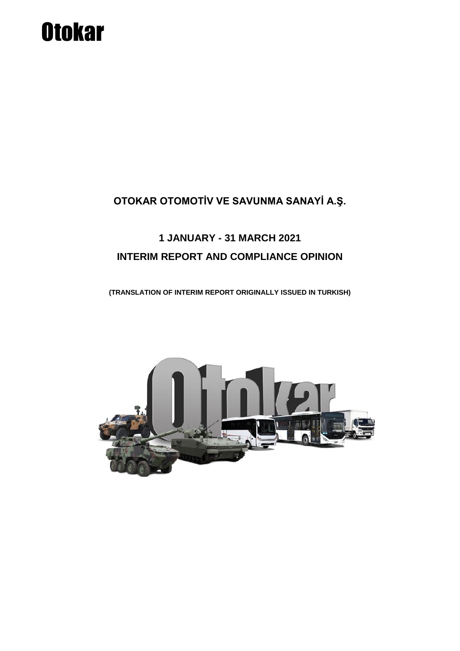# **Otokar**

### **OTOKAR OTOMOTİV VE SAVUNMA SANAYİ A.Ş.**

## **1 JANUARY - 31 MARCH 2021 INTERIM REPORT AND COMPLIANCE OPINION**

**(TRANSLATION OF INTERIM REPORT ORIGINALLY ISSUED IN TURKISH)**

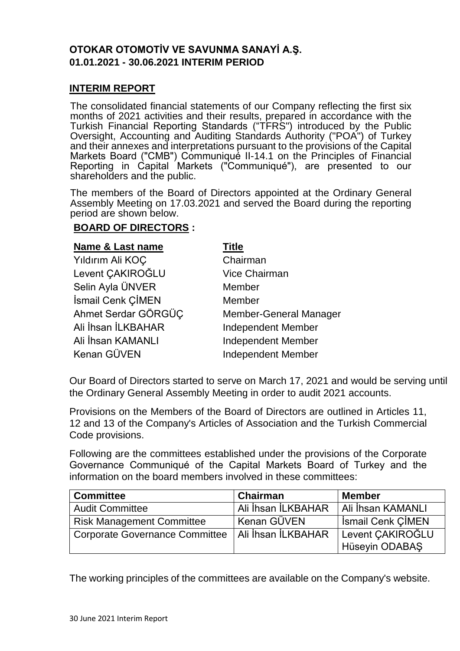#### **OTOKAR OTOMOTİV VE SAVUNMA SANAYİ A.Ş. 01.01.2021 - 30.06.2021 INTERIM PERIOD**

#### **INTERIM REPORT**

The consolidated financial statements of our Company reflecting the first six months of 2021 activities and their results, prepared in accordance with the Turkish Financial Reporting Standards ("TFRS") introduced by the Public Oversight, Accounting and Auditing Standards Authority ("POA") of Turkey and their annexes and interpretations pursuant to the provisions of the Capital Markets Board ("CMB") Communiqué II-14.1 on the Principles of Financial Reporting in Capital Markets ("Communiqué"), are presented to our shareholders and the public.

The members of the Board of Directors appointed at the Ordinary General Assembly Meeting on 17.03.2021 and served the Board during the reporting period are shown below.

#### **BOARD OF DIRECTORS :**

| <b>Name &amp; Last name</b> | Title                         |
|-----------------------------|-------------------------------|
| Yıldırım Ali KOÇ            | Chairman                      |
| Levent CAKIROĞLU            | <b>Vice Chairman</b>          |
| Selin Ayla ÜNVER            | Member                        |
| İsmail Cenk ÇİMEN           | Member                        |
| Ahmet Serdar GÖRGÜÇ         | <b>Member-General Manager</b> |
| Ali İhsan İLKBAHAR          | <b>Independent Member</b>     |
| Ali İhsan KAMANLI           | <b>Independent Member</b>     |
| Kenan GÜVEN                 | <b>Independent Member</b>     |

Our Board of Directors started to serve on March 17, 2021 and would be serving until the Ordinary General Assembly Meeting in order to audit 2021 accounts.

Provisions on the Members of the Board of Directors are outlined in Articles 11, 12 and 13 of the Company's Articles of Association and the Turkish Commercial Code provisions.

Following are the committees established under the provisions of the Corporate Governance Communiqué of the Capital Markets Board of Turkey and the information on the board members involved in these committees:

| <b>Committee</b>                                    | <b>Chairman</b>    | <b>Member</b>            |
|-----------------------------------------------------|--------------------|--------------------------|
| <b>Audit Committee</b>                              | Ali İhsan İLKBAHAR | Ali İhsan KAMANLI        |
| <b>Risk Management Committee</b>                    | ' Kenan GÜVEN      | <b>Ismail Cenk CIMEN</b> |
| Corporate Governance Committee   Ali İhsan İLKBAHAR |                    | Levent CAKIROĞLU         |
|                                                     |                    | Hüseyin ODABAŞ           |

The working principles of the committees are available on the Company's website.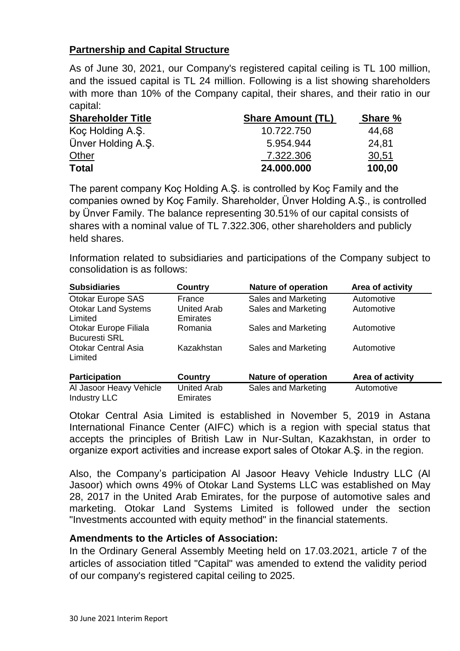#### **Partnership and Capital Structure**

As of June 30, 2021, our Company's registered capital ceiling is TL 100 million, and the issued capital is TL 24 million. Following is a list showing shareholders with more than 10% of the Company capital, their shares, and their ratio in our capital:

| <b>Shareholder Title</b> | <b>Share Amount (TL)</b> | <b>Share %</b> |
|--------------------------|--------------------------|----------------|
| Koç Holding A.Ş.         | 10.722.750               | 44,68          |
| Ünver Holding A.S.       | 5.954.944                | 24,81          |
| Other                    | 7.322.306                | 30,51          |
| <b>Total</b>             | 24,000,000               | 100,00         |

The parent company Koç Holding A.Ş. is controlled by Koç Family and the companies owned by Koç Family. Shareholder, Ünver Holding A.Ş., is controlled by Ünver Family. The balance representing 30.51% of our capital consists of shares with a nominal value of TL 7.322.306, other shareholders and publicly held shares.

Information related to subsidiaries and participations of the Company subject to consolidation is as follows:

| <b>Subsidiaries</b>                            | Country                               | <b>Nature of operation</b> | Area of activity |
|------------------------------------------------|---------------------------------------|----------------------------|------------------|
| Otokar Europe SAS                              | France                                | Sales and Marketing        | Automotive       |
| <b>Otokar Land Systems</b><br>Limited          | <b>United Arab</b><br><b>Emirates</b> | Sales and Marketing        | Automotive       |
| Otokar Europe Filiala<br><b>Bucuresti SRL</b>  | Romania                               | Sales and Marketing        | Automotive       |
| <b>Otokar Central Asia</b><br>Limited          | Kazakhstan                            | Sales and Marketing        | Automotive       |
| <b>Participation</b>                           | <b>Country</b>                        | <b>Nature of operation</b> | Area of activity |
| Al Jasoor Heavy Vehicle<br><b>Industry LLC</b> | <b>United Arab</b><br>Emirates        | Sales and Marketing        | Automotive       |

Otokar Central Asia Limited is established in November 5, 2019 in Astana International Finance Center (AIFC) which is a region with special status that accepts the principles of British Law in Nur-Sultan, Kazakhstan, in order to organize export activities and increase export sales of Otokar A.Ş. in the region.

Also, the Company's participation Al Jasoor Heavy Vehicle Industry LLC (Al Jasoor) which owns 49% of Otokar Land Systems LLC was established on May 28, 2017 in the United Arab Emirates, for the purpose of automotive sales and marketing. Otokar Land Systems Limited is followed under the section "Investments accounted with equity method" in the financial statements.

#### **Amendments to the Articles of Association:**

In the Ordinary General Assembly Meeting held on 17.03.2021, article 7 of the articles of association titled "Capital" was amended to extend the validity period of our company's registered capital ceiling to 2025.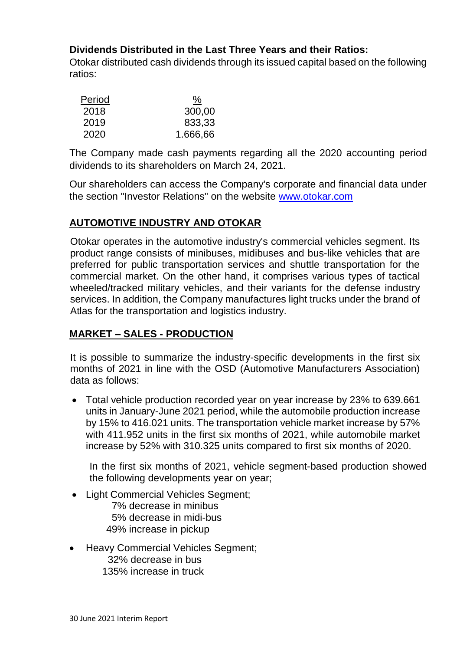#### **Dividends Distributed in the Last Three Years and their Ratios:**

Otokar distributed cash dividends through its issued capital based on the following ratios:

| Period | <u>%</u> |
|--------|----------|
| 2018   | 300,00   |
| 2019   | 833,33   |
| 2020   | 1.666,66 |

The Company made cash payments regarding all the 2020 accounting period dividends to its shareholders on March 24, 2021.

Our shareholders can access the Company's corporate and financial data under the section "Investor Relations" on the website [www.otokar.com](http://www.otokar.com/)

#### **AUTOMOTIVE INDUSTRY AND OTOKAR**

Otokar operates in the automotive industry's commercial vehicles segment. Its product range consists of minibuses, midibuses and bus-like vehicles that are preferred for public transportation services and shuttle transportation for the commercial market. On the other hand, it comprises various types of tactical wheeled/tracked military vehicles, and their variants for the defense industry services. In addition, the Company manufactures light trucks under the brand of Atlas for the transportation and logistics industry.

#### **MARKET – SALES - PRODUCTION**

It is possible to summarize the industry-specific developments in the first six months of 2021 in line with the OSD (Automotive Manufacturers Association) data as follows:

 Total vehicle production recorded year on year increase by 23% to 639.661 units in January-June 2021 period, while the automobile production increase by 15% to 416.021 units. The transportation vehicle market increase by 57% with 411.952 units in the first six months of 2021, while automobile market increase by 52% with 310.325 units compared to first six months of 2020.

In the first six months of 2021, vehicle segment-based production showed the following developments year on year;

- Light Commercial Vehicles Segment;
	- 7% decrease in minibus 5% decrease in midi-bus 49% increase in pickup
- Heavy Commercial Vehicles Segment; 32% decrease in bus 135% increase in truck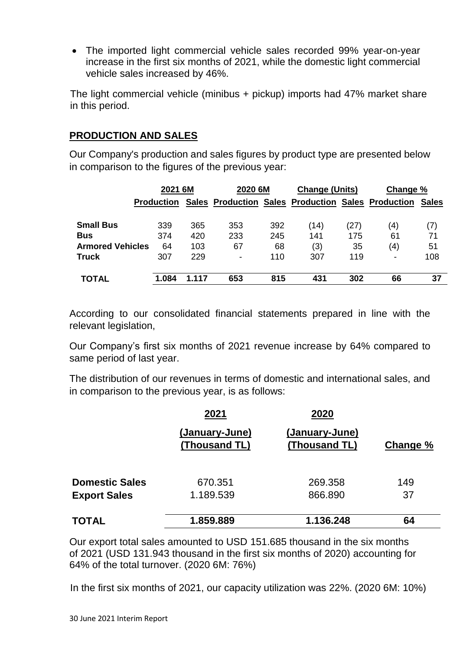The imported light commercial vehicle sales recorded 99% year-on-year increase in the first six months of 2021, while the domestic light commercial vehicle sales increased by 46%.

The light commercial vehicle (minibus + pickup) imports had 47% market share in this period.

#### **PRODUCTION AND SALES**

Our Company's production and sales figures by product type are presented below in comparison to the figures of the previous year:

|                         | 2021 6M           |       | 2020 6M                                            |     | <b>Change (Units)</b> |      | Change %       |              |
|-------------------------|-------------------|-------|----------------------------------------------------|-----|-----------------------|------|----------------|--------------|
|                         | <b>Production</b> |       | Sales Production Sales Production Sales Production |     |                       |      |                | <b>Sales</b> |
| <b>Small Bus</b>        | 339               | 365   | 353                                                | 392 | (14)                  | (27) | (4)            | (7)          |
| <b>Bus</b>              | 374               | 420   | 233                                                | 245 | 141                   | 175  | 61             | 71           |
| <b>Armored Vehicles</b> | 64                | 103   | 67                                                 | 68  | (3)                   | 35   | (4)            | 51           |
| <b>Truck</b>            | 307               | 229   | ۰                                                  | 110 | 307                   | 119  | $\blacksquare$ | 108          |
| <b>TOTAL</b>            | 1.084             | 1.117 | 653                                                | 815 | 431                   | 302  | 66             | 37           |

According to our consolidated financial statements prepared in line with the relevant legislation,

Our Company's first six months of 2021 revenue increase by 64% compared to same period of last year.

The distribution of our revenues in terms of domestic and international sales, and in comparison to the previous year, is as follows:

|                       | 2021                            | 2020                            |          |
|-----------------------|---------------------------------|---------------------------------|----------|
|                       | (January-June)<br>(Thousand TL) | (January-June)<br>(Thousand TL) | Change % |
| <b>Domestic Sales</b> | 670.351                         | 269.358                         | 149      |
| <b>Export Sales</b>   | 1.189.539                       | 866,890                         | 37       |
| <b>TOTAL</b>          | 1.859.889                       | 1.136.248                       | 64       |

Our export total sales amounted to USD 151.685 thousand in the six months of 2021 (USD 131.943 thousand in the first six months of 2020) accounting for 64% of the total turnover. (2020 6M: 76%)

In the first six months of 2021, our capacity utilization was 22%. (2020 6M: 10%)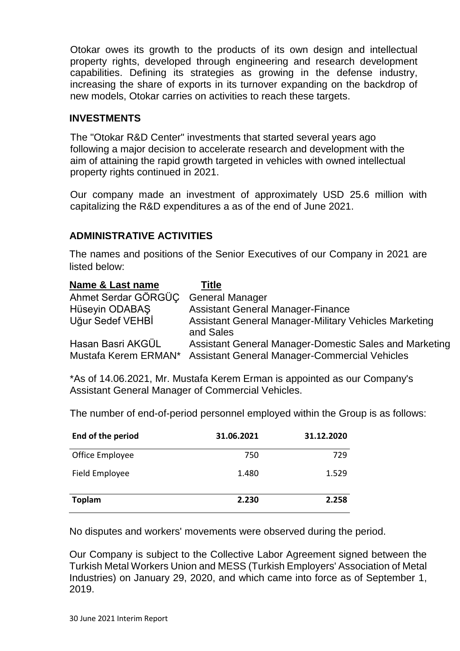Otokar owes its growth to the products of its own design and intellectual property rights, developed through engineering and research development capabilities. Defining its strategies as growing in the defense industry, increasing the share of exports in its turnover expanding on the backdrop of new models, Otokar carries on activities to reach these targets.

#### **INVESTMENTS**

The "Otokar R&D Center" investments that started several years ago following a major decision to accelerate research and development with the aim of attaining the rapid growth targeted in vehicles with owned intellectual property rights continued in 2021.

Our company made an investment of approximately USD 25.6 million with capitalizing the R&D expenditures a as of the end of June 2021.

#### **ADMINISTRATIVE ACTIVITIES**

The names and positions of the Senior Executives of our Company in 2021 are listed below:

| Name & Last name                          | Title                                                                                                          |
|-------------------------------------------|----------------------------------------------------------------------------------------------------------------|
| Ahmet Serdar GÖRGÜC                       | <b>General Manager</b>                                                                                         |
| Hüseyin ODABAŞ                            | <b>Assistant General Manager-Finance</b>                                                                       |
| Uğur Sedef VEHBİ                          | <b>Assistant General Manager-Military Vehicles Marketing</b><br>and Sales                                      |
| Hasan Basri AKGÜL<br>Mustafa Kerem ERMAN* | Assistant General Manager-Domestic Sales and Marketing<br><b>Assistant General Manager-Commercial Vehicles</b> |

\*As of 14.06.2021, Mr. Mustafa Kerem Erman is appointed as our Company's Assistant General Manager of Commercial Vehicles.

The number of end-of-period personnel employed within the Group is as follows:

| End of the period | 31.06.2021 | 31.12.2020 |
|-------------------|------------|------------|
| Office Employee   | 750        | 729        |
| Field Employee    | 1.480      | 1.529      |
| <b>Toplam</b>     | 2.230      | 2.258      |

No disputes and workers' movements were observed during the period.

Our Company is subject to the Collective Labor Agreement signed between the Turkish Metal Workers Union and MESS (Turkish Employers' Association of Metal Industries) on January 29, 2020, and which came into force as of September 1, 2019.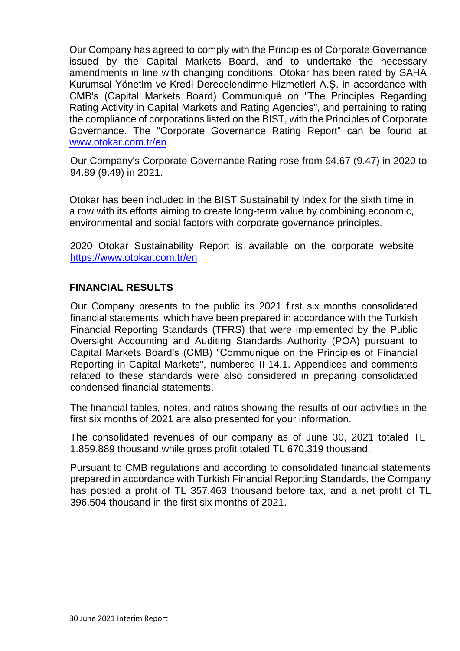Our Company has agreed to comply with the Principles of Corporate Governance issued by the Capital Markets Board, and to undertake the necessary amendments in line with changing conditions. Otokar has been rated by SAHA Kurumsal Yönetim ve Kredi Derecelendirme Hizmetleri A.Ş. in accordance with CMB's (Capital Markets Board) Communiqué on "The Principles Regarding Rating Activity in Capital Markets and Rating Agencies", and pertaining to rating the compliance of corporations listed on the BIST, with the Principles of Corporate Governance. The "Corporate Governance Rating Report" can be found at [www.otokar.com.tr/en](http://www.otokar.com.tr/en)

Our Company's Corporate Governance Rating rose from 94.67 (9.47) in 2020 to 94.89 (9.49) in 2021.

Otokar has been included in the BIST Sustainability Index for the sixth time in a row with its efforts aiming to create long-term value by combining economic, environmental and social factors with corporate governance principles.

2020 Otokar Sustainability Report is available on the corporate website <https://www.otokar.com.tr/en>

#### **FINANCIAL RESULTS**

Our Company presents to the public its 2021 first six months consolidated financial statements, which have been prepared in accordance with the Turkish Financial Reporting Standards (TFRS) that were implemented by the Public Oversight Accounting and Auditing Standards Authority (POA) pursuant to Capital Markets Board's (CMB) "Communiqué on the Principles of Financial Reporting in Capital Markets", numbered II-14.1. Appendices and comments related to these standards were also considered in preparing consolidated condensed financial statements.

The financial tables, notes, and ratios showing the results of our activities in the first six months of 2021 are also presented for your information.

The consolidated revenues of our company as of June 30, 2021 totaled TL 1.859.889 thousand while gross profit totaled TL 670.319 thousand.

Pursuant to CMB regulations and according to consolidated financial statements prepared in accordance with Turkish Financial Reporting Standards, the Company has posted a profit of TL 357.463 thousand before tax, and a net profit of TL 396.504 thousand in the first six months of 2021.